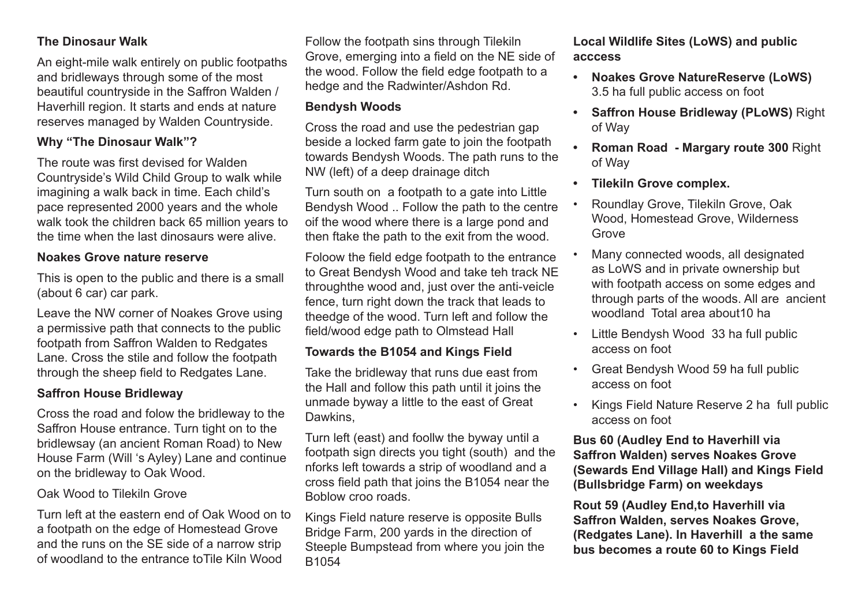# **The Dinosaur Walk**

An eight-mile walk entirely on public footpaths and bridleways through some of the most beautiful countryside in the Saffron Walden / Haverhill region. It starts and ends at nature reserves managed by Walden Countryside.

# **Why "The Dinosaur Walk"?**

The route was first devised for Walden Countryside's Wild Child Group to walk while imagining a walk back in time. Each child's pace represented 2000 years and the whole walk took the children back 65 million years to the time when the last dinosaurs were alive.

#### **Noakes Grove nature reserve**

This is open to the public and there is a small (about 6 car) car park.

Leave the NW corner of Noakes Grove using a permissive path that connects to the public footpath from Saffron Walden to Redgates Lane. Cross the stile and follow the footpath through the sheep field to Redgates Lane.

## **Saffron House Bridleway**

Cross the road and folow the bridleway to the Saffron House entrance. Turn tight on to the bridlewsay (an ancient Roman Road) to New House Farm (Will 's Ayley) Lane and continue on the bridleway to Oak Wood.

#### Oak Wood to Tilekiln Grove

Turn left at the eastern end of Oak Wood on to a footpath on the edge of Homestead Grove and the runs on the SE side of a narrow strip of woodland to the entrance toTile Kiln Wood

Follow the footpath sins through Tilekiln Grove, emerging into a field on the NE side of the wood. Follow the field edge footpath to a hedge and the Radwinter/Ashdon Rd.

## **Bendysh Woods**

Cross the road and use the pedestrian gap beside a locked farm gate to join the footpath towards Bendysh Woods. The path runs to the NW (left) of a deep drainage ditch

Turn south on a footpath to a gate into Little Bendysh Wood .. Follow the path to the centre oif the wood where there is a large pond and then ftake the path to the exit from the wood.

Foloow the field edge footpath to the entrance to Great Bendysh Wood and take teh track NE throughthe wood and, just over the anti-veicle fence, turn right down the track that leads to theedge of the wood. Turn left and follow the field/wood edge path to Olmstead Hall

## **Towards the B1054 and Kings Field**

Take the bridleway that runs due east from the Hall and follow this path until it joins the unmade byway a little to the east of Great Dawkins,

Turn left (east) and foollw the byway until a footpath sign directs you tight (south) and the nforks left towards a strip of woodland and a cross field path that joins the B1054 near the Boblow croo roads.

Kings Field nature reserve is opposite Bulls Bridge Farm, 200 yards in the direction of Steeple Bumpstead from where you join the B1054

**Local Wildlife Sites (LoWS) and public acccess**

- **• Noakes Grove NatureReserve (LoWS)** 3.5 ha full public access on foot
- **• Saffron House Bridleway (PLoWS)** Right of Way
- **Roman Road Margary route 300 Right** of Way
- **Filekiln Grove complex.**
- Roundlay Grove, Tilekiln Grove, Oak Wood, Homestead Grove, Wilderness **Grove**
- Many connected woods, all designated as LoWS and in private ownership but with footpath access on some edges and through parts of the woods. All are ancient woodland Total area about10 ha
- Little Bendysh Wood 33 ha full public access on foot
- Great Bendysh Wood 59 ha full public access on foot
- Kings Field Nature Reserve 2 ha full public access on foot

## **Bus 60 (Audley End to Haverhill via Saffron Walden) serves Noakes Grove (Sewards End Village Hall) and Kings Field (Bullsbridge Farm) on weekdays**

**Rout 59 (Audley End,to Haverhill via Saffron Walden, serves Noakes Grove, (Redgates Lane). In Haverhill a the same bus becomes a route 60 to Kings Field**